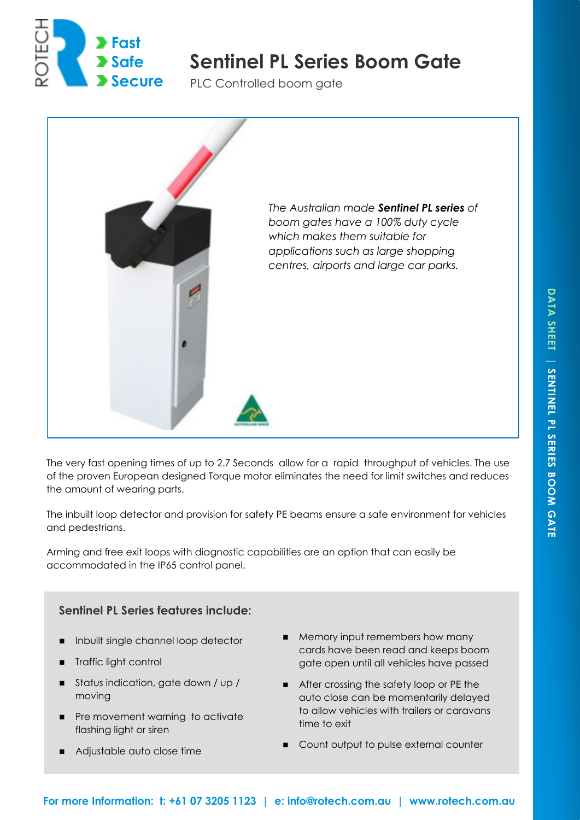

# **Sentinel PL Series Boom Gate Safe**

PLC Controlled boom gate



The very fast opening times of up to 2.7 Seconds allow for a rapid throughput of vehicles. The use of the proven European designed Torque motor eliminates the need for limit switches and reduces the amount of wearing parts.

The inbuilt loop detector and provision for safety PE beams ensure a safe environment for vehicles and pedestrians.

Arming and free exit loops with diagnostic capabilities are an option that can easily be accommodated in the IP65 control panel.

# **Sentinel PL Series features include:**

- Inbuilt single channel loop detector
- **Traffic light control**
- Status indication, gate down / up / moving
- **Pre movement warning to activate** flashing light or siren
- Adjustable auto close time
- **Memory input remembers how many** cards have been read and keeps boom gate open until all vehicles have passed
- After crossing the safety loop or PE the auto close can be momentarily delayed to allow vehicles with trailers or caravans time to exit
- **Count output to pulse external counter**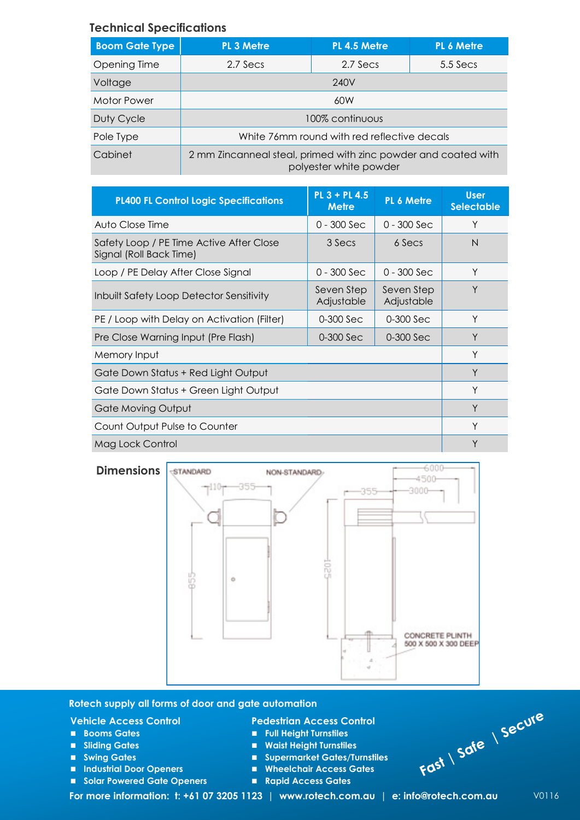## **Technical Specifications**

| <b>Boom Gate Type</b> | <b>PL 3 Metre</b>                                                                        | PL 4.5 Metre | PL 6 Metre |  |
|-----------------------|------------------------------------------------------------------------------------------|--------------|------------|--|
| Opening Time          | 2.7 Secs                                                                                 | 2.7 Secs     | $5.5$ Secs |  |
| Voltage               | 240V                                                                                     |              |            |  |
| Motor Power           | 60W                                                                                      |              |            |  |
| Duty Cycle            | 100% continuous                                                                          |              |            |  |
| Pole Type             | White 76mm round with red reflective decals                                              |              |            |  |
| Cabinet               | 2 mm Zincanneal steal, primed with zinc powder and coated with<br>polyester white powder |              |            |  |

| <b>PL400 FL Control Logic Specifications</b>                        | $PL 3 + PL 4.5$<br><b>Metre</b> | PL 6 Metre               | <b>User</b><br><b>Selectable</b> |
|---------------------------------------------------------------------|---------------------------------|--------------------------|----------------------------------|
| Auto Close Time                                                     | $0 - 300$ Sec                   | $0 - 300$ Sec            | Υ                                |
| Safety Loop / PE Time Active After Close<br>Signal (Roll Back Time) | 3 Secs                          | 6 Secs                   | N                                |
| Loop / PE Delay After Close Signal                                  | $0 - 300$ Sec                   | $0 - 300$ Sec            | Y                                |
| <b>Inbuilt Safety Loop Detector Sensitivity</b>                     | Seven Step<br>Adjustable        | Seven Step<br>Adjustable | Y                                |
| PE / Loop with Delay on Activation (Filter)                         | 0-300 Sec                       | 0-300 Sec                | Y                                |
| Pre Close Warning Input (Pre Flash)                                 | 0-300 Sec                       | 0-300 Sec                | Y                                |
| Memory Input                                                        | Y                               |                          |                                  |
| Gate Down Status + Red Light Output                                 | Y                               |                          |                                  |
| Gate Down Status + Green Light Output                               | Υ                               |                          |                                  |
| Gate Moving Output                                                  | Y                               |                          |                                  |
| Count Output Pulse to Counter                                       | Υ                               |                          |                                  |
| Mag Lock Control                                                    | Υ                               |                          |                                  |





#### **Rotech supply all forms of door and gate automation**

#### **Vehicle Access Control**

- **Booms Gates**
- **Sliding Gates**
- **Swing Gates**
- **Industrial Door Openers**
- Solar Powered Gate Openers

#### **Pedestrian Access Control**

- **Full Height Turnstiles**
- **Waist Height Turnstiles**
- **Supermarket Gates/Turnstiles**
- **Wheelchair Access Gates**
- **Rapid Access Gates**